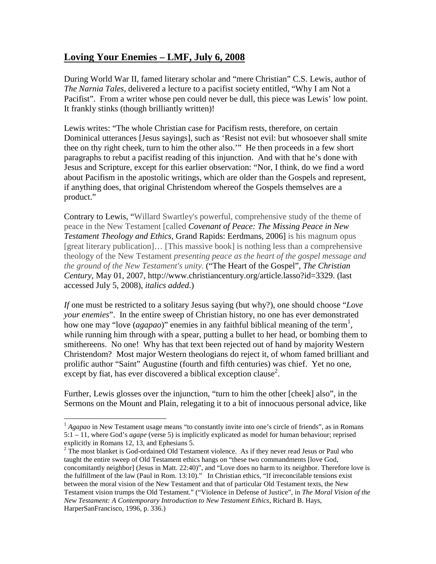## **Loving Your Enemies – LMF, July 6, 2008**

During World War II, famed literary scholar and "mere Christian" C.S. Lewis, author of *The Narnia Tales*, delivered a lecture to a pacifist society entitled, "Why I am Not a Pacifist". From a writer whose pen could never be dull, this piece was Lewis' low point. It frankly stinks (though brilliantly written)!

Lewis writes: "The whole Christian case for Pacifism rests, therefore, on certain Dominical utterances [Jesus sayings], such as 'Resist not evil: but whosoever shall smite thee on thy right cheek, turn to him the other also.'" He then proceeds in a few short paragraphs to rebut a pacifist reading of this injunction. And with that he's done with Jesus and Scripture, except for this earlier observation: "Nor, I think, do we find a word about Pacifism in the apostolic writings, which are older than the Gospels and represent, if anything does, that original Christendom whereof the Gospels themselves are a product."

Contrary to Lewis, "Willard Swartley's powerful, comprehensive study of the theme of peace in the New Testament [called *Covenant of Peace: The Missing Peace in New Testament Theology and Ethics*, Grand Rapids: Eerdmans, 2006] is his magnum opus [great literary publication]… [This massive book] is nothing less than a comprehensive theology of the New Testament *presenting peace as the heart of the gospel message and the ground of the New Testament's unity*. ("The Heart of the Gospel", *The Christian Century*, May 01, 2007, <http://www.christiancentury.org/article.lasso?id=3329>. (last accessed July 5, 2008), *italics added*.)

*If* one must be restricted to a solitary Jesus saying (but why?), one should choose "*Love your enemies*". In the entire sweep of Christian history, no one has ever demonstrated howone [m](#page-0-0)ay "love  $(agapao)$ " enemies in any faithful biblical meaning of the term<sup>1</sup>, while running him through with a spear, putting a bullet to her head, or bombing them to smithereens. No one! Why has that text been rejected out of hand by majority Western Christendom? Most major Western theologians do reject it, of whom famed brilliant and prolific author "Saint" Augustine (fourth and fifth centuries) was chief. Yet no one,  $\epsilon$  except by fiat, has ever discovered a biblical exception clause<sup>[2](#page-0-1)</sup>.

Further, Lewis glosses over the injunction, "turn to him the other [cheek] also", in the Sermons on the Mount and Plain, relegating it to a bit of innocuous personal advice, like

<span id="page-0-0"></span><sup>&</sup>lt;sup>1</sup> *Agapao* in New Testament usage means "to constantly invite into one's circle of friends", as in Romans 5:1 – 11, where God's *agape* (verse 5) is implicitly explicated as model for human behaviour; reprised explicitly in Romans 12, 13, and Ephesians 5.

<span id="page-0-1"></span><sup>&</sup>lt;sup>2</sup> The most blanket is God-ordained Old Testament violence. As if they never read Jesus or Paul who taught the entire sweep of Old Testament ethics hangs on "these two commandments [love God, concomitantly neighbor] (Jesus in Matt. 22:40)", and "Love does no harm to its neighbor. Therefore love is the fulfillment of the law (Paul in Rom. 13:10)." In Christian ethics, "If irreconcilable tensions exist between the moral vision of the New Testament and that of particular Old Testament texts, the New Testament vision trumps the Old Testament." ("Violence in Defense of Justice", in *The Moral Vision of the New Testament: A Contemporary Introduction to New Testament Ethics*, Richard B. Hays, HarperSanFrancisco, 1996, p. 336.)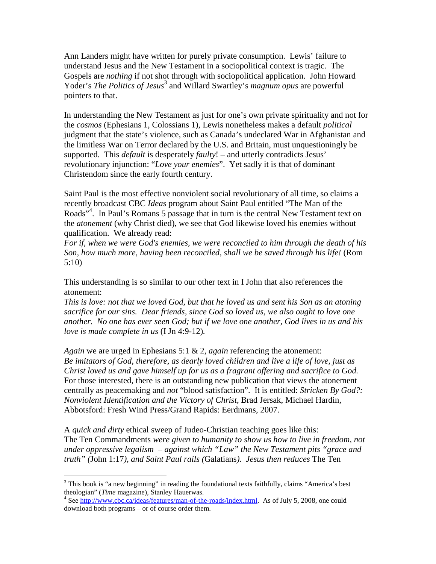Ann Landers might have written for purely private consumption. Lewis' failure to understand Jesus and the New Testament in a sociopolitical context is tragic. The Gospels are *nothing* if not shot through with sociopolitical application. John Howard Yoder's *The Politics of Jesus*<sup>[3](#page-1-0)</sup> and Willard Swartley's *magnum opus* are powerful pointers to that.

In understanding the New Testament as just for one's own private spirituality and not for the *cosmos* (Ephesians 1, Colossians 1), Lewis nonetheless makes a default *political* judgment that the state's violence, such as Canada's undeclared War in Afghanistan and the limitless War on Terror declared by the U.S. and Britain, must unquestioningly be supported. This *default* is desperately *faulty*! – and utterly contradicts Jesus' revolutionary injunction: "*Love your enemies*". Yet sadly it is that of dominant Christendom since the early fourth century.

Saint Paul is the most effective nonviolent social revolutionary of all time, so claims a recently broadcast CBC *Ideas* program about Saint Paul entitled "The Man of the Roads<sup>3[4](#page-1-1)</sup>. In Paul's Romans 5 passage that in turn is the central New Testament text on the *atonement* (why Christ died), we see that God likewise loved his enemies without qualification. We already read:

*For if, when we were God's enemies, we were reconciled to him through the death of his Son, how much more, having been reconciled, shall we be saved through his life!* (Rom 5:10)

This understanding is so similar to our other text in I John that also references the atonement:

*This is love: not that we loved God, but that he loved us and sent his Son as an atoning sacrifice for our sins. Dear friends, since God so loved us, we also ought to love one another. No one has ever seen God; but if we love one another, God lives in us and his love is made complete in us* (I Jn 4:9-12)*.*

*Again* we are urged in Ephesians 5:1 & 2, *again* referencing the atonement: *Be imitators of God, therefore, as dearly loved children and live a life of love, just as Christ loved us and gave himself up for us as a fragrant offering and sacrifice to God.* For those interested, there is an outstanding new publication that views the atonement centrally as peacemaking and *not* "blood satisfaction". It is entitled: *Stricken By God?: Nonviolent Identification and the Victory of Christ*, Brad Jersak, Michael Hardin, Abbotsford: Fresh Wind Press/Grand Rapids: Eerdmans, 2007.

A *quick and dirty* ethical sweep of Judeo-Christian teaching goes like this: The Ten Commandments *were given to humanity to show us how to live in freedom, not under oppressive legalism – against which "Law" the New Testament pits "grace and truth" (*John 1:17*), and Saint Paul rails (*Galatians*). Jesus then reduces* The Ten

<span id="page-1-0"></span> $3$  This book is "a new beginning" in reading the foundational texts faithfully, claims "America's best theologian" (*Time* magazine), Stanley Hauerwas.

<span id="page-1-1"></span><sup>&</sup>lt;sup>4</sup> See http://www.cbc.ca/ideas/features/man-of-the-roads/index.html. As of July 5, 2008, one could download both programs – or of course order them.